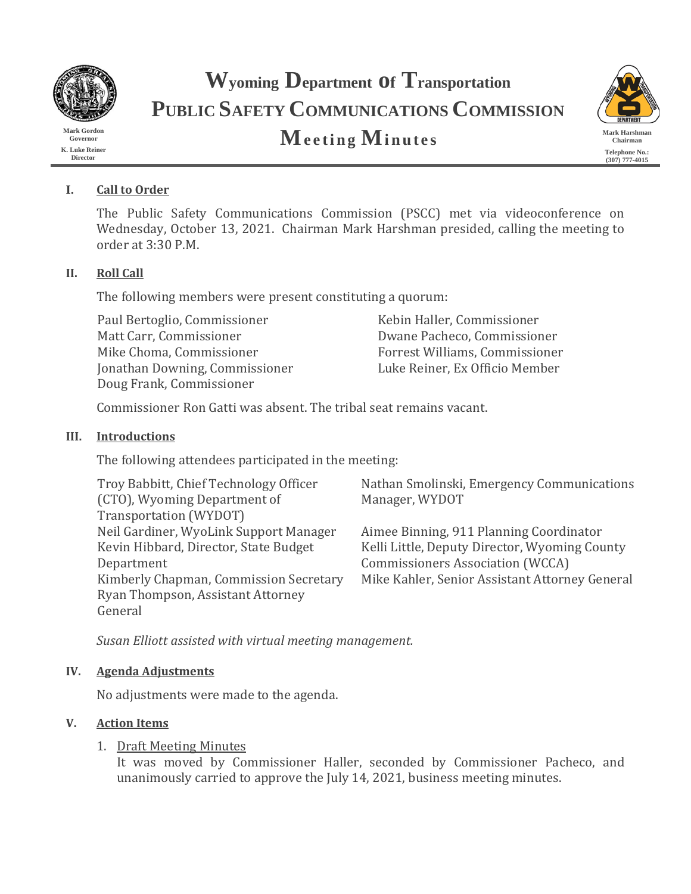

**Mark Gordon Governor K. Luke Reiner Director**

# **Wyoming Department of Transportation PUBLIC SAFETY COMMUNICATIONS COMMISSION Meeting Minutes** Mark Harshman Mark Harshman



# **I. Call to Order**

The Public Safety Communications Commission (PSCC) met via videoconference on Wednesday, October 13, 2021. Chairman Mark Harshman presided, calling the meeting to order at 3:30 P.M.

# **II. Roll Call**

The following members were present constituting a quorum:

Paul Bertoglio, Commissioner Kebin Haller, Commissioner Matt Carr, Commissioner Dwane Pacheco, Commissioner Jonathan Downing, Commissioner Doug Frank, Commissioner

Forrest Williams, Commissioner<br>Luke Reiner. Ex Officio Member

Commissioner Ron Gatti was absent. The tribal seat remains vacant.

# **III. Introductions**

The following attendees participated in the meeting:

| Troy Babbitt, Chief Technology Officer |
|----------------------------------------|
| (CTO), Wyoming Department of           |
| Transportation (WYDOT)                 |
| Neil Gardiner, WyoLink Support Manager |
| Kevin Hibbard, Director, State Budget  |
| Department                             |
| Kimberly Chapman, Commission Secretary |
| Ryan Thompson, Assistant Attorney      |
| General                                |
|                                        |

Nathan Smolinski, Emergency Communications Manager, WYDOT

Aimee Binning, 911 Planning Coordinator Kelli Little, Deputy Director, Wyoming County Commissioners Association (WCCA) Mike Kahler, Senior Assistant Attorney General

*Susan Elliott assisted with virtual meeting management.*

# **IV. Agenda Adjustments**

No adjustments were made to the agenda.

# **V. Action Items**

# 1. Draft Meeting Minutes

It was moved by Commissioner Haller, seconded by Commissioner Pacheco, and unanimously carried to approve the July 14, 2021, business meeting minutes.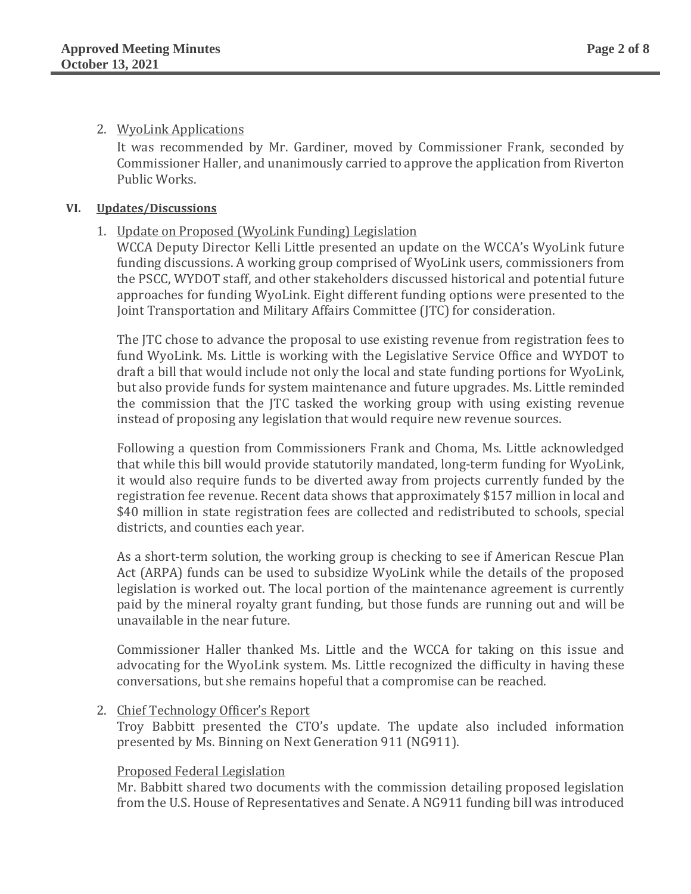# 2. WyoLink Applications

It was recommended by Mr. Gardiner, moved by Commissioner Frank, seconded by Commissioner Haller, and unanimously carried to approve the application from Riverton Public Works.

## **VI. Updates/Discussions**

# 1. Update on Proposed (WyoLink Funding) Legislation

WCCA Deputy Director Kelli Little presented an update on the WCCA's WyoLink future funding discussions. A working group comprised of WyoLink users, commissioners from the PSCC, WYDOT staff, and other stakeholders discussed historical and potential future approaches for funding WyoLink. Eight different funding options were presented to the Joint Transportation and Military Affairs Committee (JTC) for consideration.

The JTC chose to advance the proposal to use existing revenue from registration fees to fund WyoLink. Ms. Little is working with the Legislative Service Office and WYDOT to draft a bill that would include not only the local and state funding portions for WyoLink, but also provide funds for system maintenance and future upgrades. Ms. Little reminded the commission that the JTC tasked the working group with using existing revenue instead of proposing any legislation that would require new revenue sources.

Following a question from Commissioners Frank and Choma, Ms. Little acknowledged that while this bill would provide statutorily mandated, long-term funding for WyoLink, it would also require funds to be diverted away from projects currently funded by the registration fee revenue. Recent data shows that approximately \$157 million in local and \$40 million in state registration fees are collected and redistributed to schools, special districts, and counties each year.

As a short-term solution, the working group is checking to see if American Rescue Plan Act (ARPA) funds can be used to subsidize WyoLink while the details of the proposed legislation is worked out. The local portion of the maintenance agreement is currently paid by the mineral royalty grant funding, but those funds are running out and will be unavailable in the near future.

Commissioner Haller thanked Ms. Little and the WCCA for taking on this issue and advocating for the WyoLink system. Ms. Little recognized the difficulty in having these conversations, but she remains hopeful that a compromise can be reached.

# 2. Chief Technology Officer's Report

Troy Babbitt presented the CTO's update. The update also included information presented by Ms. Binning on Next Generation 911 (NG911).

# Proposed Federal Legislation

Mr. Babbitt shared two documents with the commission detailing proposed legislation from the U.S. House of Representatives and Senate. A NG911 funding bill was introduced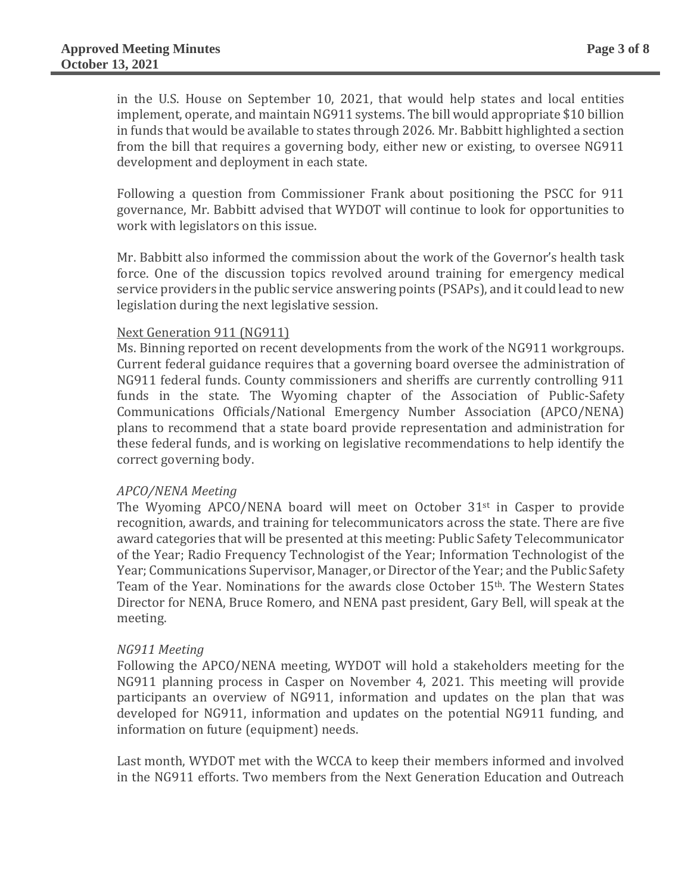in the U.S. House on September 10, 2021, that would help states and local entities implement, operate, and maintain NG911 systems. The bill would appropriate \$10 billion in funds that would be available to states through 2026. Mr. Babbitt highlighted a section from the bill that requires a governing body, either new or existing, to oversee NG911 development and deployment in each state.

Following a question from Commissioner Frank about positioning the PSCC for 911 governance, Mr. Babbitt advised that WYDOT will continue to look for opportunities to work with legislators on this issue.

Mr. Babbitt also informed the commission about the work of the Governor's health task force. One of the discussion topics revolved around training for emergency medical service providers in the public service answering points (PSAPs), and it could lead to new legislation during the next legislative session.

## Next Generation 911 (NG911)

Ms. Binning reported on recent developments from the work of the NG911 workgroups. Current federal guidance requires that a governing board oversee the administration of NG911 federal funds. County commissioners and sheriffs are currently controlling 911 funds in the state. The Wyoming chapter of the Association of Public-Safety Communications Officials/National Emergency Number Association (APCO/NENA) plans to recommend that a state board provide representation and administration for these federal funds, and is working on legislative recommendations to help identify the correct governing body.

#### *APCO/NENA Meeting*

The Wyoming APCO/NENA board will meet on October 31st in Casper to provide recognition, awards, and training for telecommunicators across the state. There are five award categories that will be presented at this meeting: Public Safety Telecommunicator of the Year; Radio Frequency Technologist of the Year; Information Technologist of the Year; Communications Supervisor, Manager, or Director of the Year; and the Public Safety Team of the Year. Nominations for the awards close October 15th. The Western States Director for NENA, Bruce Romero, and NENA past president, Gary Bell, will speak at the meeting.

# *NG911 Meeting*

Following the APCO/NENA meeting, WYDOT will hold a stakeholders meeting for the NG911 planning process in Casper on November 4, 2021. This meeting will provide participants an overview of NG911, information and updates on the plan that was developed for NG911, information and updates on the potential NG911 funding, and information on future (equipment) needs.

Last month, WYDOT met with the WCCA to keep their members informed and involved in the NG911 efforts. Two members from the Next Generation Education and Outreach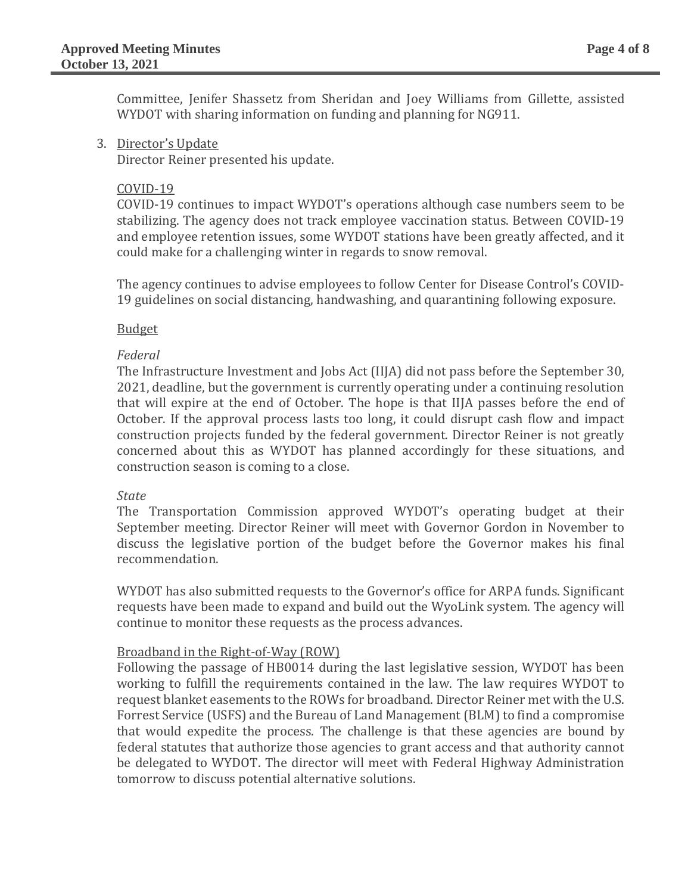Committee, Jenifer Shassetz from Sheridan and Joey Williams from Gillette, assisted WYDOT with sharing information on funding and planning for NG911.

3. Director's Update

Director Reiner presented his update.

## COVID-19

COVID-19 continues to impact WYDOT's operations although case numbers seem to be stabilizing. The agency does not track employee vaccination status. Between COVID-19 and employee retention issues, some WYDOT stations have been greatly affected, and it could make for a challenging winter in regards to snow removal.

The agency continues to advise employees to follow Center for Disease Control's COVID-19 guidelines on social distancing, handwashing, and quarantining following exposure.

## Budget

## *Federal*

The Infrastructure Investment and Jobs Act (IIJA) did not pass before the September 30, 2021, deadline, but the government is currently operating under a continuing resolution that will expire at the end of October. The hope is that IIJA passes before the end of October. If the approval process lasts too long, it could disrupt cash flow and impact construction projects funded by the federal government. Director Reiner is not greatly concerned about this as WYDOT has planned accordingly for these situations, and construction season is coming to a close.

#### *State*

The Transportation Commission approved WYDOT's operating budget at their September meeting. Director Reiner will meet with Governor Gordon in November to discuss the legislative portion of the budget before the Governor makes his final recommendation.

WYDOT has also submitted requests to the Governor's office for ARPA funds. Significant requests have been made to expand and build out the WyoLink system. The agency will continue to monitor these requests as the process advances.

# Broadband in the Right-of-Way (ROW)

Following the passage of HB0014 during the last legislative session, WYDOT has been working to fulfill the requirements contained in the law. The law requires WYDOT to request blanket easements to the ROWs for broadband. Director Reiner met with the U.S. Forrest Service (USFS) and the Bureau of Land Management (BLM) to find a compromise that would expedite the process. The challenge is that these agencies are bound by federal statutes that authorize those agencies to grant access and that authority cannot be delegated to WYDOT. The director will meet with Federal Highway Administration tomorrow to discuss potential alternative solutions.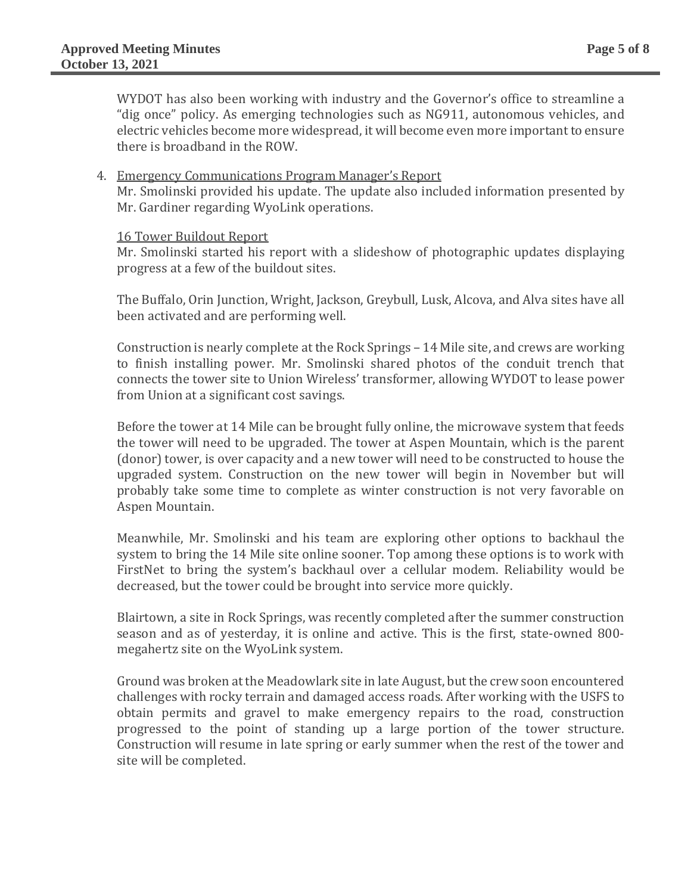WYDOT has also been working with industry and the Governor's office to streamline a "dig once" policy. As emerging technologies such as NG911, autonomous vehicles, and electric vehicles become more widespread, it will become even more important to ensure there is broadband in the ROW.

#### 4. Emergency Communications Program Manager's Report

Mr. Smolinski provided his update. The update also included information presented by Mr. Gardiner regarding WyoLink operations.

#### 16 Tower Buildout Report

Mr. Smolinski started his report with a slideshow of photographic updates displaying progress at a few of the buildout sites.

The Buffalo, Orin Junction, Wright, Jackson, Greybull, Lusk, Alcova, and Alva sites have all been activated and are performing well.

Construction is nearly complete at the Rock Springs – 14 Mile site, and crews are working to finish installing power. Mr. Smolinski shared photos of the conduit trench that connects the tower site to Union Wireless' transformer, allowing WYDOT to lease power from Union at a significant cost savings.

Before the tower at 14 Mile can be brought fully online, the microwave system that feeds the tower will need to be upgraded. The tower at Aspen Mountain, which is the parent (donor) tower, is over capacity and a new tower will need to be constructed to house the upgraded system. Construction on the new tower will begin in November but will probably take some time to complete as winter construction is not very favorable on Aspen Mountain.

Meanwhile, Mr. Smolinski and his team are exploring other options to backhaul the system to bring the 14 Mile site online sooner. Top among these options is to work with FirstNet to bring the system's backhaul over a cellular modem. Reliability would be decreased, but the tower could be brought into service more quickly.

Blairtown, a site in Rock Springs, was recently completed after the summer construction season and as of yesterday, it is online and active. This is the first, state-owned 800 megahertz site on the WyoLink system.

Ground was broken at the Meadowlark site in late August, but the crew soon encountered challenges with rocky terrain and damaged access roads. After working with the USFS to obtain permits and gravel to make emergency repairs to the road, construction progressed to the point of standing up a large portion of the tower structure. Construction will resume in late spring or early summer when the rest of the tower and site will be completed.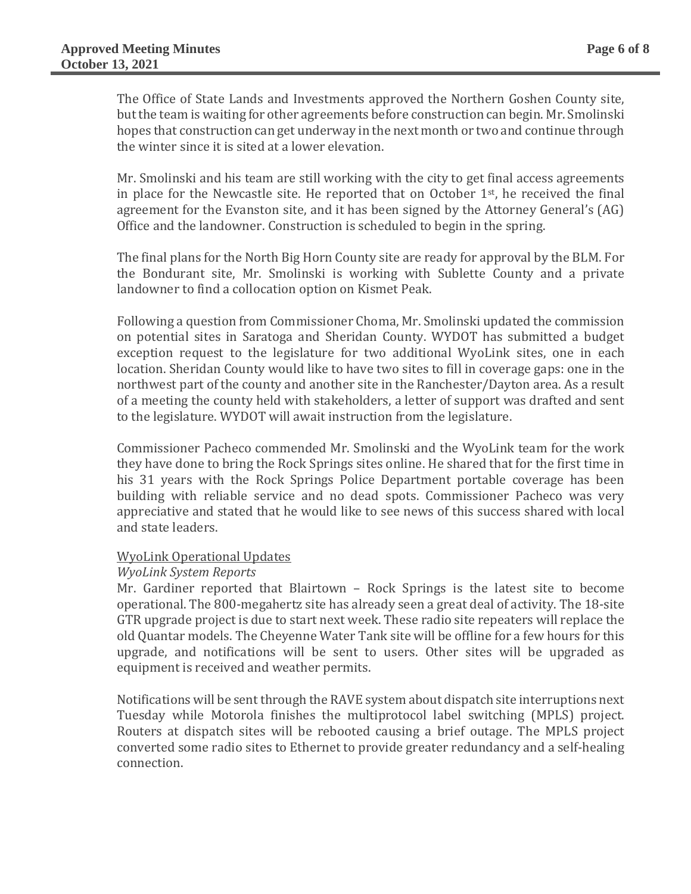The Office of State Lands and Investments approved the Northern Goshen County site, but the team is waiting for other agreements before construction can begin. Mr. Smolinski hopes that construction can get underway in the next month or two and continue through the winter since it is sited at a lower elevation.

Mr. Smolinski and his team are still working with the city to get final access agreements in place for the Newcastle site. He reported that on October 1<sup>st</sup>, he received the final agreement for the Evanston site, and it has been signed by the Attorney General's (AG) Office and the landowner. Construction is scheduled to begin in the spring.

The final plans for the North Big Horn County site are ready for approval by the BLM. For the Bondurant site, Mr. Smolinski is working with Sublette County and a private landowner to find a collocation option on Kismet Peak.

Following a question from Commissioner Choma, Mr. Smolinski updated the commission on potential sites in Saratoga and Sheridan County. WYDOT has submitted a budget exception request to the legislature for two additional WyoLink sites, one in each location. Sheridan County would like to have two sites to fill in coverage gaps: one in the northwest part of the county and another site in the Ranchester/Dayton area. As a result of a meeting the county held with stakeholders, a letter of support was drafted and sent to the legislature. WYDOT will await instruction from the legislature.

Commissioner Pacheco commended Mr. Smolinski and the WyoLink team for the work they have done to bring the Rock Springs sites online. He shared that for the first time in his 31 years with the Rock Springs Police Department portable coverage has been building with reliable service and no dead spots. Commissioner Pacheco was very appreciative and stated that he would like to see news of this success shared with local and state leaders.

#### WyoLink Operational Updates

#### *WyoLink System Reports*

Mr. Gardiner reported that Blairtown – Rock Springs is the latest site to become operational. The 800-megahertz site has already seen a great deal of activity. The 18-site GTR upgrade project is due to start next week. These radio site repeaters will replace the old Quantar models. The Cheyenne Water Tank site will be offline for a few hours for this upgrade, and notifications will be sent to users. Other sites will be upgraded as equipment is received and weather permits.

Notifications will be sent through the RAVE system about dispatch site interruptions next Tuesday while Motorola finishes the multiprotocol label switching (MPLS) project. Routers at dispatch sites will be rebooted causing a brief outage. The MPLS project converted some radio sites to Ethernet to provide greater redundancy and a self-healing connection.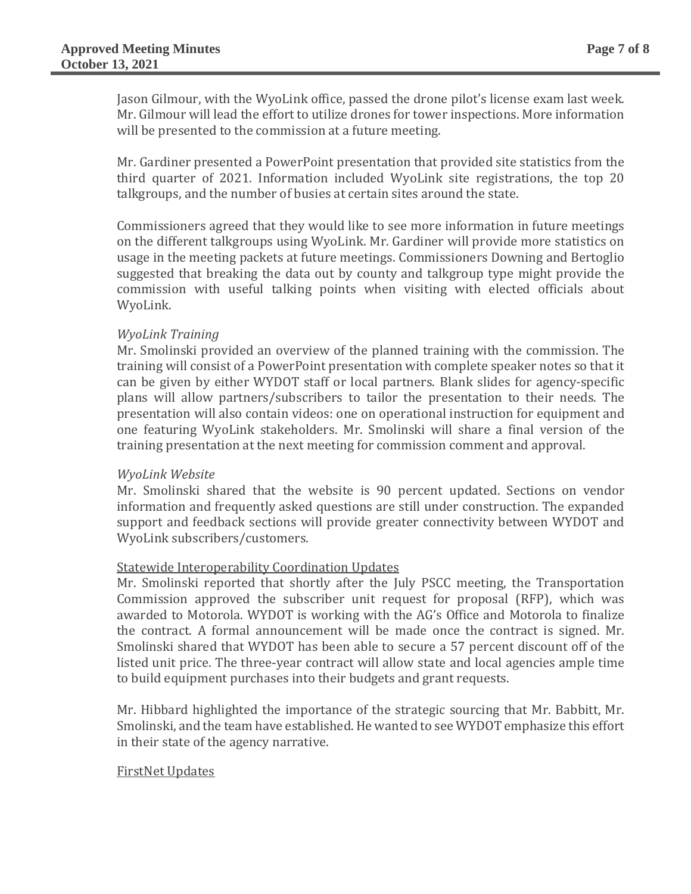Jason Gilmour, with the WyoLink office, passed the drone pilot's license exam last week. Mr. Gilmour will lead the effort to utilize drones for tower inspections. More information will be presented to the commission at a future meeting.

Mr. Gardiner presented a PowerPoint presentation that provided site statistics from the third quarter of 2021. Information included WyoLink site registrations, the top 20 talkgroups, and the number of busies at certain sites around the state.

Commissioners agreed that they would like to see more information in future meetings on the different talkgroups using WyoLink. Mr. Gardiner will provide more statistics on usage in the meeting packets at future meetings. Commissioners Downing and Bertoglio suggested that breaking the data out by county and talkgroup type might provide the commission with useful talking points when visiting with elected officials about WyoLink.

# *WyoLink Training*

Mr. Smolinski provided an overview of the planned training with the commission. The training will consist of a PowerPoint presentation with complete speaker notes so that it can be given by either WYDOT staff or local partners. Blank slides for agency-specific plans will allow partners/subscribers to tailor the presentation to their needs. The presentation will also contain videos: one on operational instruction for equipment and one featuring WyoLink stakeholders. Mr. Smolinski will share a final version of the training presentation at the next meeting for commission comment and approval.

#### *WyoLink Website*

Mr. Smolinski shared that the website is 90 percent updated. Sections on vendor information and frequently asked questions are still under construction. The expanded support and feedback sections will provide greater connectivity between WYDOT and WyoLink subscribers/customers.

# Statewide Interoperability Coordination Updates

Mr. Smolinski reported that shortly after the July PSCC meeting, the Transportation Commission approved the subscriber unit request for proposal (RFP), which was awarded to Motorola. WYDOT is working with the AG's Office and Motorola to finalize the contract. A formal announcement will be made once the contract is signed. Mr. Smolinski shared that WYDOT has been able to secure a 57 percent discount off of the listed unit price. The three-year contract will allow state and local agencies ample time to build equipment purchases into their budgets and grant requests.

Mr. Hibbard highlighted the importance of the strategic sourcing that Mr. Babbitt, Mr. Smolinski, and the team have established. He wanted to see WYDOT emphasize this effort in their state of the agency narrative.

#### FirstNet Updates